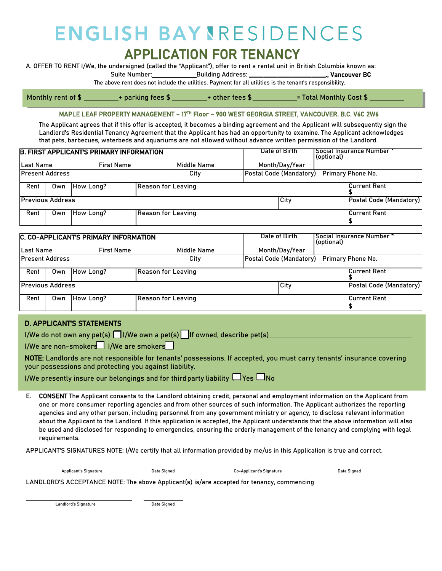## **ENGLISH BAYNRESIDENCES** APPLICATION FOR TENANCY<br>A. OFFER TO RENT I/We, the undersigned (called the "Applicant"), offer to rent a rental unit in British Columbia known as:

Suite Number: Building Address: \_\_\_\_\_\_\_\_\_\_\_\_\_\_\_\_\_\_\_\_\_\_\_\_\_\_\_., Vancouver BC

The above rent does not include the utilities. Payment for all utilities is the tenant's responsibility.

Monthly rent of  $$$   $\_\_$  $\begin{array}{l} \textcolor{red}{\textbf{1}}\ \textcolor{red}{\textbf{1}}\ \textcolor{red}{\textbf{1}}\ \textcolor{red}{\textbf{1}}\ \textcolor{red}{\textbf{1}}\ \textcolor{red}{\textbf{1}}\ \textcolor{red}{\textbf{1}}\ \textcolor{red}{\textbf{1}}\ \textcolor{red}{\textbf{1}}\ \textcolor{red}{\textbf{1}}\ \textcolor{red}{\textbf{1}}\ \textcolor{red}{\textbf{1}}\ \textcolor{red}{\textbf{1}}\ \textcolor{red}{\textbf{1}}\ \textcolor{red}{\textbf{1}}\ \textcolor{red}{\textbf{1}}\ \textcolor{red$ 

MAPLE LEAF PROPERTY MANAGEMENT – 17TH Floor – 900 WEST GEORGIA STREET, VANCOUVER. B.C. V6C 2W6

The Applicant agrees that if this offer is accepted, it becomes a binding agreement and the Applicant will subsequently sign the Landlord's Residential Tenancy Agreement that the Applicant has had an opportunity to examine. The Applicant acknowledges that pets, barbecues, waterbeds and aquariums are not allowed without advance written permission of the Landlord.

| <b>B. FIRST APPLICANTS PRIMARY INFORMATION</b> |     |                   |                           |             |  | Date of Birth<br>(optional) | 'Social Insurance Number * |                                           |  |
|------------------------------------------------|-----|-------------------|---------------------------|-------------|--|-----------------------------|----------------------------|-------------------------------------------|--|
| Last Name                                      |     | <b>First Name</b> |                           | Middle Name |  | Month/Day/Year              |                            |                                           |  |
| Present Address                                |     |                   |                           | City        |  |                             |                            | Postal Code (Mandatory) Primary Phone No. |  |
| Rent                                           |     | Own   How Long?   | <b>Reason for Leaving</b> |             |  |                             |                            | <b>Current Rent</b>                       |  |
| <b>Previous Address</b>                        |     |                   |                           |             |  | City                        | Postal Code (Mandatory)    |                                           |  |
| Rent                                           | Own | How Long?         | <b>Reason for Leaving</b> |             |  |                             |                            | <b>Current Rent</b>                       |  |

| C. CO-APPLICANT'S PRIMARY INFORMATION |     |                   |                           |             | Date of Birth<br>(optional) | " Social Insurance Number |                         |
|---------------------------------------|-----|-------------------|---------------------------|-------------|-----------------------------|---------------------------|-------------------------|
| Last Name                             |     | <b>First Name</b> |                           | Middle Name | Month/Day/Year              |                           |                         |
| <b>Present Address</b>                |     |                   |                           | <b>City</b> | Postal Code (Mandatory)     | <b>Primary Phone No.</b>  |                         |
| Rent                                  | Own | How Long?         | <b>Reason for Leaving</b> |             |                             |                           | <b>Current Rent</b>     |
| <b>Previous Address</b>               |     |                   |                           |             | City                        |                           | Postal Code (Mandatory) |
| Rent                                  | Own | How Long?         | <b>Reason for Leaving</b> |             |                             |                           | <b>Current Rent</b>     |

## **D. APPLICANTS STATEMENTS**

I/We do not own any pet(s)  $\Box$  I/We own a pet(s)  $\Box$  If owned, describe pet(s)

 $I/W$ e are non-smokers $\Pi$  I/We are smokers

NOTE: Landlords are not responsible for tenants' possessions. If accepted, you must carry tenants' insurance covering your possessions and protecting you against liability.

I/We presently insure our belongings and for third party liability  $\Box$  Yes  $\Box$  No

E. CONSENT The Applicant consents to the Landlord obtaining credit, personal and employment information on the Applicant from one or more consumer reporting agencies and from other sources of such information. The Applicant authorizes the reporting agencies and any other person, including personnel from any government ministry or agency, to disclose relevant information about the Applicant to the Landlord. If this application is accepted, the Applicant understands that the above information will also be used and disclosed for responding to emergencies, ensuring the orderly management of the tenancy and complying with legal requirements.

APPLICANT'S SIGNATURES NOTE: I/We certify that all information provided by me/us in this Application is true and correct.

Applicant's Signature Date Signed Co-Applicant's Signature Date Signed

LANDLORD'S ACCEPTANCE NOTE: The above Applicant(s) is/are accepted for tenancy, commencing

Landlord's Signature **Date Signature** Date Signed